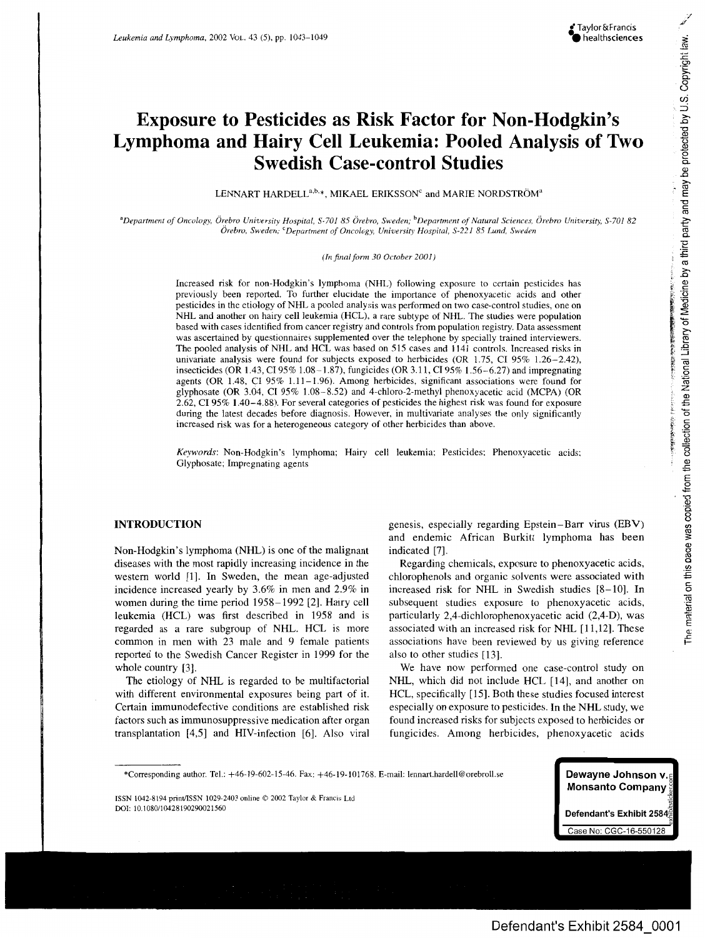# **Exposure to Pesticides as Risk Factor for Non-Hodgkin's Lymphoma and Hairy Cell Leukemia: Pooled Analysis of Two Swedish Case-control Studies**

LENNART HARDELL<sup>a,b,\*</sup>, MIKAEL ERIKSSON<sup>c</sup> and MARIE NORDSTRÖM<sup>a</sup>

<sup>a</sup>Department of Oncology, Örebro University Hospital, S-701 85 Örebro, Sweden; <sup>b</sup>Department of Natural Sciences, Örebro University, S-701 82 *Orebro, Sweden," CDepartment of Oncology, University Hospital, S-221 85 Lund, Sweden*

*(In final form 30 October 2001)*

Increased risk for non-Hodgkin's lymphoma (NHL) following exposure to certain pesticides has previously been reported. To further elucidate the importance of phenoxyacetic acids and other pesticides in the etiology of NHL a pooled analysis was performed on two case-control studies, one on NHL and another on hairy cell leukemia (HCL), a rare subtype of NHL. The studies were population based with cases identified from cancer registry and controls from population registry. Data assessment was ascertained by questionnaires supplemented over the telephone by specially trained interviewers. The pooled analysis of NHL and HCL was based on 515 cases and 1141 controls. Increased risks in univariate analysis were found for subjects exposed to herbicides (OR 1.75, CI 95% 1.26-2.42), insecticides (OR 1.43, C195% 1.08-1.87), fungicides (OR 3.1 !, CI 95% 1.56-6.27) and impregnating agents (OR 1.48, CI 95% 1.11-1.96). Among herbicides, significant associations were found for glyphosate (OR 3.04, CI 95% 1.08-8.52) and 4-chloro-2-methyl phenoxyacetic acid (MCPA) (OR 2.62, CI 95% 1.40-4.88). For several categories of pesticides the highest risk was found for exposure during the latest decades before diagnosis. However, in multivariate analyses the only significantly increased risk was for a heterogeneous category of other herbicides than above.

*Keywords:* Non-Hodgkin's lymphoma; Hairy ceil leukemia: Pesticides: Phenoxyacetic acids: Glyphosate; Impregnating agents

## INTRODUCTION

Non-Hodgkin's lymphoma (NHL) is one of the malignant diseases with the most rapidly increasing incidence in the western world [1]. In Sweden, the mean age-adjusted incidence increased yearly by 3.6% in men and 2.9% in women during the time period 1958-1992 [2]. Hairy cell leukemia (HCL) was first described in 1958 and is regarded as a rare subgroup of NHL. HCL is more common in men with 23 male and 9 female patients reported to the Swedish Cancer Register in 1999 for the whole country [3].

The etiology of NHL is regarded to be multifactorial with different environmental exposures being part of it. Certain immunodefective conditions are established risk factors such as immunosuppressive medication after organ transplantation [4,5] and HIV-infection [6]. Also viral genesis, especially regarding Epstein-Barr virus (EBV) and endemic African Burkitt lymphoma has been indicated [7].

Regarding chemicals, exposure to phenoxyacetic acids, chlorophenols and organic solvents were associated with increased risk for NHL in Swedish studies [8-10]. In subsequent studies exposure to phenoxyacetic acids, particularly 2,4-dichlorophenoxyacetic acid (2,4-D), was associated with an increased risk for NHL [11,12]. These associations have been reviewed by us giving reference also to other studies [13].

We have now performed one case-control study on NHL, which did not include HCL [14], and another on HCL, specifically [15]. Both these studies focused interest especially on exposure to pesticides. In the NHL study, we found increased risks for subjects exposed to herbicides or fungicides. Among herbicides, phenoxyacetic acids



./

<sup>\*</sup>Corresponding author. Tel.: +46-19-602-15-46. Fax: +46-19-101768. E-mail: lennart.hardell@orebroll.se

ISSN 1042-8194 prinffISSN 1029-2403 online © 2002 Taylor & Francis Ltd DOI: 10.1080110428190290021560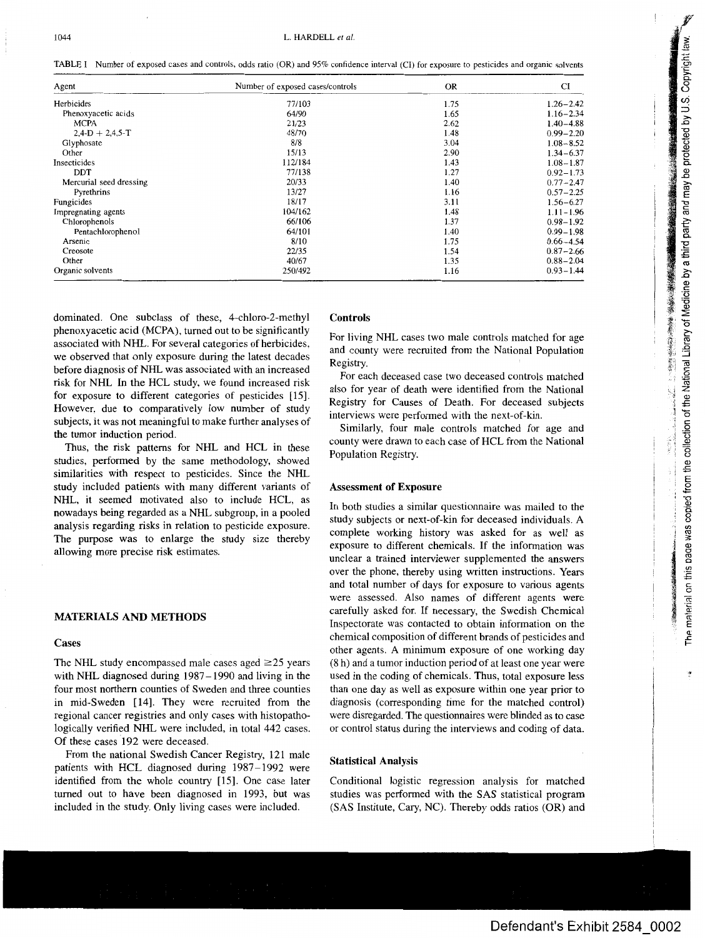TABLE I Number of exposed cases and controls, odds ratio (OR) and 95% confidence interval (CI) for exposure to pesticides and organic solvents

| Agent                   | Number of exposed cases/controls | <b>OR</b> | CI            |
|-------------------------|----------------------------------|-----------|---------------|
| Herbicides              | 77/103                           | 1.75      | $1.26 - 2.42$ |
| Phenoxyacetic acids     | 64/90                            | 1.65      | $1.16 - 2.34$ |
| <b>MCPA</b>             | 21/23                            | 2.62      | $1.40 - 4.88$ |
| $2,4-D + 2,4,5-T$       | 48/70                            | 1.48      | $0.99 - 2.20$ |
| Glyphosate              | 8/8                              | 3.04      | $1.08 - 8.52$ |
| Other                   | 15/13                            | 2.90      | $1.34 - 6.37$ |
| Insecticides            | 112/184                          | 1.43      | $1.08 - 1.87$ |
| <b>DDT</b>              | 77/138                           | 1.27      | $0.92 - 1.73$ |
| Mercurial seed dressing | 20/33                            | 1.40      | $0.77 - 2.47$ |
| Pyrethrins              | 13/27                            | 1.16      | $0.57 - 2.25$ |
| Fungicides              | 18/17                            | 3.11      | $1.56 - 6.27$ |
| Impregnating agents     | 104/162                          | 1.48      | $1.11 - 1.96$ |
| Chlorophenols           | 66/106                           | 1.37      | $0.98 - 1.92$ |
| Pentachlorophenol       | 64/101                           | 1.40      | $0.99 - 1.98$ |
| Arsenic                 | 8/10                             | 1.75      | $0.66 - 4.54$ |
| Creosote                | 22/35                            | 1.54      | $0.87 - 2.66$ |
| Other                   | 40/67                            | 1.35      | $0.88 - 2.04$ |
| Organic solvents        | 250/492                          | 1.16      | $0.93 - 1.44$ |

dominated. One subclass of these, 4-chloro-2-methyl phenoxyacetic acid (MCPA), turned out to be significantly associated with NHL. For several categories of herbicides, we observed that only exposure during the latest decades before diagnosis of NHL was associated with an increased risk for [NHL.](https://www.baumhedlundlaw.com/toxic-tort-law/monsanto-roundup-lawsuit/) In the HCL study, we found increased risk for exposure to different categories of pesticides [15]. However, due to comparatively low number of study subjects, it was not meaningful to make further analyses of the tumor induction period.

Thus, the risk patterns for NHL and HCL in these studies, performed by the same methodology, showed similarities with respect to pesticides. Since the NHL study included patients with many different variants of NHL, it seemed motivated also to include HCL, as nowadays being regarded as a NHL subgroup, in a pooled analysis regarding risks in relation to pesticide exposure. The purpose was to enlarge the study size thereby allowing more precise risk estimates.

#### **MATERIALS AND METHODS**

#### **Cases**

The NHL study encompassed male cases aged  $\geq$ 25 years with NHL diagnosed during 1987-1990 and living in the four most northern counties of Sweden and three counties in mid-Sweden [14]. They were recruited from the regional cancer registries and only cases with histopathologically verified NHL were included, in total 442 cases. Of these cases 192 were deceased.

From the national Swedish Cancer Registry, 121 male patients with HCL diagnosed during 1987-1992 were identified from the whole country [15]. One case later turned out to have been diagnosed in 1993, but was included in the study. Only living cases were included.

### **Controls**

For living NHL cases two male controls matched for age and county were recruited from the National Population Registry.

For each deceased case two deceased controls matched also for year of death were identified from the National Registry for Causes of Death. For deceased subjects interviews were performed with the next-of-kin.

Similarly, four male controls matched for age and county were drawn to each case of HCL from the National Population Registry.

#### **Assessment of Exposure**

In both studies a similar questionnaire was mailed to the study subjects or next-of-kin for deceased individuals. A complete working history was asked for as well as exposure to different chemicals. If the information was unclear a trained interviewer supplemented the answers over the phone, thereby using written instructions. Years and total number of days for exposure to various agents were assessed. Also names of different agents were carefully asked for. If necessary, the Swedish Chemical Inspectorate was contacted to obtain information on the chemical composition of different brands of pesticides and other agents. A minimum exposure of one working day (8 h) and a tumor induction period of at least one year were used in the coding of chemicals. Thus, total exposure less than one day as well as exposure within one year prior to diagnosis (corresponding time for the matched control) were disregarded. The questionnaires were blinded as to case or control status during the interviews and coding of data.

### **Statistical Analysis**

Conditional logistic regression analysis for matched studies was performed with the SAS statistical program (SAS Institute, Cary, NC). Thereby odds ratios (OR) and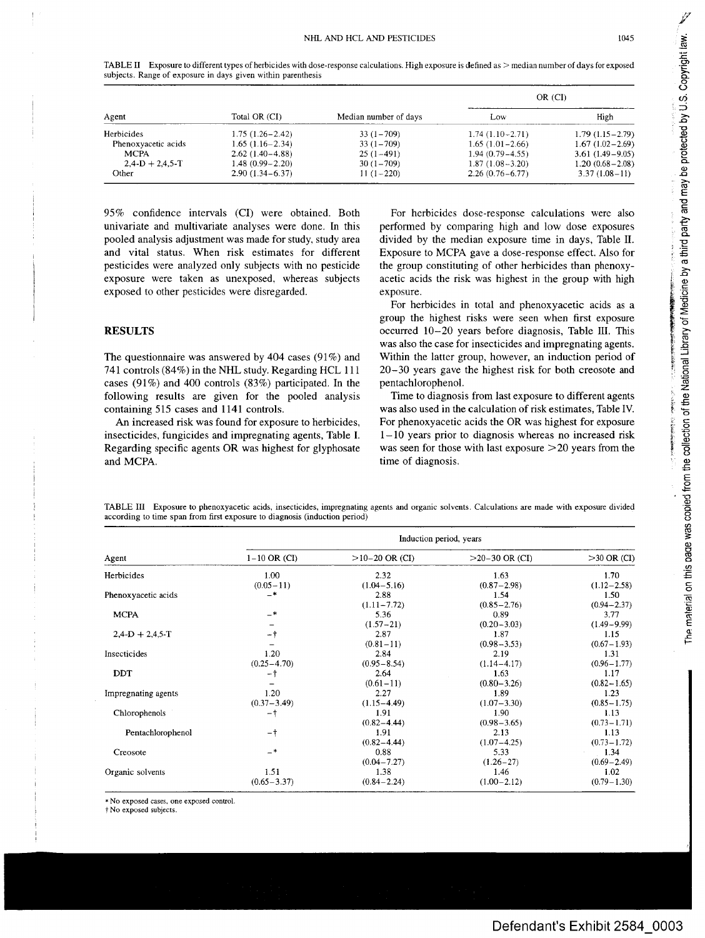The material on this page was copied from the collection of the National Library of Medicine by a third party and may be protected by U.S. Copyright law.

「おおばます」,以右手の数をあると思います。

| Agent               |                     |                       |                     | OR (CI)             |
|---------------------|---------------------|-----------------------|---------------------|---------------------|
|                     | Total OR (CI)       | Median number of days | Low                 | High                |
| <b>Herbicides</b>   | $1.75(1.26 - 2.42)$ | $33(1 - 709)$         | $1.74(1.10-2.71)$   | $1.79(1.15 - 2.79)$ |
| Phenoxyacetic acids | $1.65(1.16-2.34)$   | $33(1 - 709)$         | $1.65(1.01 - 2.66)$ | $1.67(1.02-2.69)$   |
| <b>MCPA</b>         | $2.62(1.40-4.88)$   | $25(1-491)$           | $1.94(0.79 - 4.55)$ | $3.61(1.49 - 9.05)$ |
| $2.4-D + 2.4.5-T$   | $1.48(0.99 - 2.20)$ | $30(1 - 709)$         | $1.87(1.08-3.20)$   | $1.20(0.68 - 2.08)$ |
| Other               | $2.90(1.34 - 6.37)$ | $11(1-220)$           | $2.26(0.76 - 6.77)$ | $3.37(1.08-11)$     |

TABLE II Exposure to different types of herbicides with dose-response calculations. High exposure is defined as > median number of days for exposed subjects. Range of exposure in days given within parenthesis

95% confidence intervals (CI) were obtained. Both univariate and multivariate analyses were done. In this pooled analysis adjustment was made for study, study area and vital status. When risk estimates for different pesticides were analyzed only subjects with no pesticide exposure were taken as unexposed, whereas subjects exposed to other pesticides were disregarded.

## **RESULTS**

The questionnaire was answered by 404 cases (91%) and 741 controls (84%) in the NHL study. Regarding HCL 111 cases (91%) and 400 controls (83%) participated. In the following results are given for the pooled analysis containing 515 cases and 1141 controls.

An increased risk was found for exposure to herbicides, insecticides, fungicides and impregnating agents, Table I. Regarding specific agents OR was highest for glyphosate and MCPA.

**For herbicides dose-response calculations were also performed by comparing high and low dose exposures divided by the median exposure time in days, Table II. Exposure to MCPA gave a dose-response effect. Also for the group constituting of other herbicides than phenoxyacetic acids the risk was highest in the group with high exposure.**

**For herbicides in total and phenoxyacetic acids as a group the highest risks were seen when first exposure occurred 10-20 years before diagnosis, Table III. This was also the case for insecticides and impregnating agents. Within the latter group, however, an induction period of 20-30 years gave the highest risk for both creosote and pentachlorophenol.**

**Time to diagnosis from last exposure to different agents was also used in the calculation of risk estimates, Table IV. For phenoxyacetic acids the OR was highest for exposure 1-10 years prior to diagnosis whereas no increased risk was seen for those with last exposure >20 years from the time of diagnosis.**

TABLE III Exposure to phenoxyacetic acids, insecticides, impregnating agents and organic solvents. Calculations are made with exposure divided according to time span from first exposure to diagnosis (induction period)

|                     |                  | Induction period, years |                  |                 |  |  |  |
|---------------------|------------------|-------------------------|------------------|-----------------|--|--|--|
| Agent               | $1 - 10$ OR (CI) | $>10-20$ OR (CI)        | $>20-30$ OR (CI) | $>30$ OR (CI)   |  |  |  |
| Herbicides          | 1.00             | 2.32                    | 1.63             | 1.70            |  |  |  |
|                     | $(0.05 - 11)$    | $(1.04 - 5.16)$         | $(0.87 - 2.98)$  | $(1.12 - 2.58)$ |  |  |  |
| Phenoxyacetic acids | $-*$             | 2.88                    | 1.54             | 1.50            |  |  |  |
|                     |                  | $(1.11 - 7.72)$         | $(0.85 - 2.76)$  | $(0.94 - 2.37)$ |  |  |  |
| <b>MCPA</b>         | $-*$             | 5.36                    | 0.89             | 3.77            |  |  |  |
|                     |                  | $(1.57 - 21)$           | $(0.20 - 3.03)$  | $(1.49 - 9.99)$ |  |  |  |
| $2,4$ -D + 2,4,5-T  | -†               | 2.87                    | 1.87             | 1.15            |  |  |  |
|                     |                  | $(0.81 - 11)$           | $(0.98 - 3.53)$  | $(0.67 - 1.93)$ |  |  |  |
| Insecticides        | 1.20             | 2.84                    | 2.19             | 1.31            |  |  |  |
|                     | $(0.25 - 4.70)$  | $(0.95 - 8.54)$         | $(1.14 - 4.17)$  | $(0.96 - 1.77)$ |  |  |  |
| <b>DDT</b>          | -†               | 2.64                    | 1.63             | 1.17            |  |  |  |
|                     |                  | $(0.61 - 11)$           | $(0.80 - 3.26)$  | $(0.82 - 1.65)$ |  |  |  |
| Impregnating agents | 1.20             | 2.27                    | 1.89             | 1.23            |  |  |  |
|                     | $(0.37 - 3.49)$  | $(1.15 - 4.49)$         | $(1.07 - 3.30)$  | $(0.85 - 1.75)$ |  |  |  |
| Chlorophenols       | -†               | 1.91                    | 1.90             | 1.13            |  |  |  |
|                     |                  | $(0.82 - 4.44)$         | $(0.98 - 3.65)$  | $(0.73 - 1.71)$ |  |  |  |
| Pentachlorophenol   | $-+$             | 1.91                    | 2.13             | 1.13            |  |  |  |
|                     |                  | $(0.82 - 4.44)$         | $(1.07 - 4.25)$  | $(0.73 - 1.72)$ |  |  |  |
| Creosote            | $-*$             | 0.88                    | 5.33             | 1.34            |  |  |  |
|                     |                  | $(0.04 - 7.27)$         | $(1.26 - 27)$    | $(0.69 - 2.49)$ |  |  |  |
| Organic solvents    | 1.51             | 1.38                    | 1.46             | 1.02            |  |  |  |
|                     | $(0.65 - 3.37)$  | $(0.84 - 2.24)$         | $(1.00 - 2.12)$  | $(0.79 - 1.30)$ |  |  |  |

\* No exposed cases, one exposed control.

~ No exposed subjects.

**Defendant's Exhibit 2584 0003**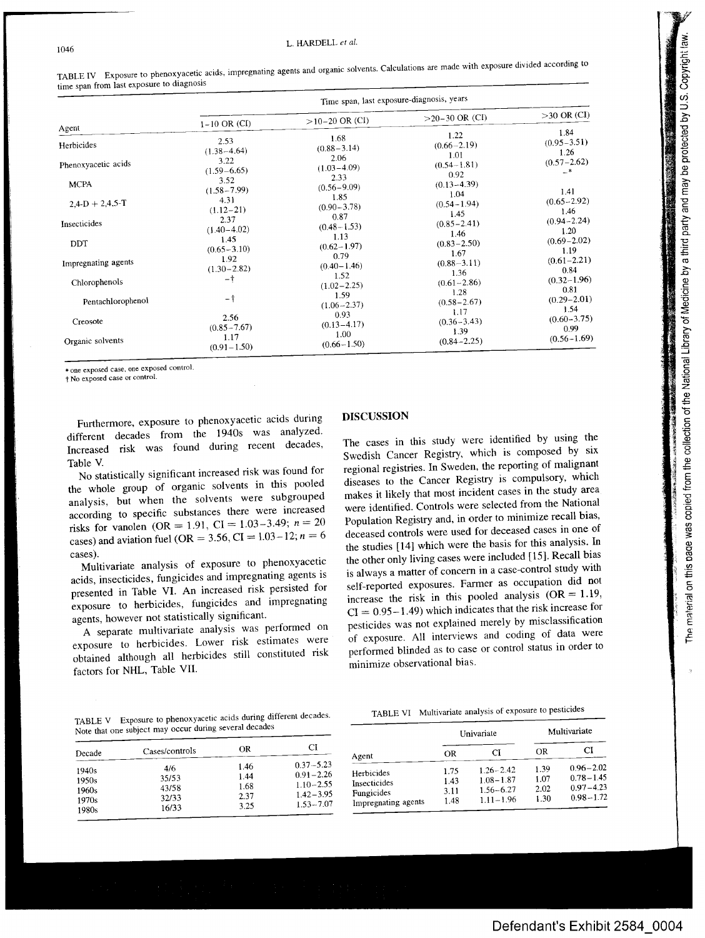| 「そのことには、「その後の「そのこと」ということになっている。そのことは、そのことは、そのことは、そのことは、そのことは、そのことは、そのことは、そのことは、そのことは、そのことは、そのことは、そのことは、そのことは、そのことは、そのことは、そのことは、そのことは、そのことは、そのことは、そのことは、そのことは、そのことは、そのことは、そのことは、そのことは、そのことは、そのことは、そのことは、そのことは、そのことは、そのことは、その<br>where the contract the contract of the contract of the con-<br>「大地震」は、「地震」の「地震」という「大地震」というのです。 | , to collection of the Mational Library of Madicine by a third narty and may be protocoled by LLC. Convict hou<br>しょう ここ<br>ノン 【 A フィンシンシン N > A 【 Mill フェラー・ショー フェラム フェニュ フェース ソニラ・ファー<br>The material on this page was copied |
|-------------------------------------------------------------------------------------------------------------------------------------------------------------------------------------------------------------------------------------------------------------------------------------------------------------------------------|---------------------------------------------------------------------------------------------------------------------------------------------------------------------------------------------------------------------------------|

|                                                                                |                                                                                                        | Time span, last exposure-diagnosis, years                                                                |                                                                                                          |                                                                                               |  |  |
|--------------------------------------------------------------------------------|--------------------------------------------------------------------------------------------------------|----------------------------------------------------------------------------------------------------------|----------------------------------------------------------------------------------------------------------|-----------------------------------------------------------------------------------------------|--|--|
|                                                                                | $1 - 10 \text{ OR } (CI)$                                                                              | $>10-20$ OR (CI)                                                                                         | $>20-30$ OR (CI)                                                                                         | $>30$ OR (CI)                                                                                 |  |  |
| Agent<br>Herbicides<br>Phenoxyacetic acids<br><b>MCPA</b><br>$2,4-D + 2,4,5-T$ | 2.53<br>$(1.38 - 4.64)$<br>3.22<br>$(1.59 - 6.65)$<br>3.52<br>$(1.58 - 7.99)$<br>4.31<br>$(1.12 - 21)$ | 1.68<br>$(0.88 - 3.14)$<br>2.06<br>$(1.03 - 4.09)$<br>2.33<br>$(0.56 - 9.09)$<br>1.85<br>$(0.90 - 3.78)$ | 1.22<br>$(0.66 - 2.19)$<br>1.01<br>$(0.54 - 1.81)$<br>0.92<br>$(0.13 - 4.39)$<br>1.04<br>$(0.54 - 1.94)$ | 1.84<br>$(0.95 - 3.51)$<br>1.26<br>$(0.57 - 2.62)$<br>$-*$<br>1.41<br>$(0.65 - 2.92)$<br>1.46 |  |  |
| Insecticides                                                                   | 2.37<br>$(1.40 - 4.02)$<br>1.45                                                                        | 0.87<br>$(0.48 - 1.53)$<br>1.13                                                                          | 1.45<br>$(0.85 - 2.41)$<br>1.46                                                                          | $(0.94 - 2.24)$<br>1.20                                                                       |  |  |
| DDT<br>Impregnating agents                                                     | $(0.65 - 3.10)$<br>1.92<br>$(1.30 - 2.82)$                                                             | $(0.62 - 1.97)$<br>0.79<br>$(0.40 - 1.46)$                                                               | $(0.83 - 2.50)$<br>1.67<br>$(0.88 - 3.11)$<br>1.36                                                       | $(0.69 - 2.02)$<br>1.19<br>$(0.61 - 2.21)$<br>0.84                                            |  |  |
| Chlorophenols                                                                  | $-$ †                                                                                                  | 1.52<br>$(1.02 - 2.25)$                                                                                  | $(0.61 - 2.86)$<br>1.28                                                                                  | $(0.32 - 1.96)$<br>0.81                                                                       |  |  |
| Pentachlorophenol                                                              | $-1$                                                                                                   | 1.59<br>$(1.06 - 2.37)$                                                                                  | $(0.58 - 2.67)$<br>1.17                                                                                  | $(0.29 - 2.01)$<br>1.54                                                                       |  |  |
| Creosote                                                                       | 2.56<br>$(0.85 - 7.67)$                                                                                | 0.93<br>$(0.13 - 4.17)$                                                                                  | $(0.36 - 3.43)$<br>1.39                                                                                  | $(0.60 - 3.75)$<br>0.99                                                                       |  |  |
| Organic solvents                                                               | 1.17<br>$(0.91 - 1.50)$                                                                                | 1.00<br>$(0.66 - 1.50)$                                                                                  | $(0.84 - 2.25)$                                                                                          | $(0.56 - 1.69)$                                                                               |  |  |

TABLE IV Exposure to phenoxyacetic acids, impregnating agents and organic solvents. Calculations are made with exposure divided according to time span from last exposure to diagnosis

\* one exposed case, one exposed control.

 $+$  No exposed case or control.

1046

Furthermore, exposure to phenoxyacetic acids during different decades from the 1940s was analyzed. Increased risk was found during recent decades, Table V.

No statistically significant increased risk was found for the whole group of organic solvents in this pooled analysis, but when the solvents were subgrouped according to specific substances there were increased risks for vanolen (OR = 1.91, CI = 1.03-3.49;  $n = 20$ cases) and aviation fuel (OR = 3.56, CI =  $1.03-12$ ;  $n = 6$ cases).

Multivariate analysis of exposure to phenoxyacetic acids, insecticides, fungicides and impregnating agents is presented in Table VI. An increased risk persisted for exposure to herbicides, fungicides and impregnating agents, however not statistically significant.

A separate multivariate analysis was performed on exposure to herbicides. Lower risk estimates were obtained although all herbicides still constituted risk factors for NHL, Table VII.

#### DISCUSSION

The cases in this study were identified by using the Swedish Cancer Registry, which is composed by six regional registries. In Sweden, the reporting of malignant diseases to the Cancer Registry is compulsory, which makes it likely that most incident cases in the study area were identified. Controls were selected from the National Population Registry and, in order to minimize recall bias, deceased controls were used for deceased cases in one of the studies [14] which were the basis for this analysis. In the other only living cases were included [15]. Recall bias is always a matter of concern in a case-control study with self-reported exposures. Farmer as occupation did not increase the risk in this pooled analysis  $(OR = 1.19,$  $CI = 0.95 - 1.49$ ) which indicates that the risk increase for pesticides was not explained merely by misclassification of exposure. All interviews and coding of data were performed blinded as to case or control status in order to minimize observational bias.

TABLE V Exposure to phenoxyacetic acids during different decades. Note that one subject may occur during several decades

| Decade | Cases/controls | ΩR   | СI            |
|--------|----------------|------|---------------|
| 1940s  | 4/6            | 1.46 | $0.37 - 5.23$ |
| 1950s  | 35/53          | 1.44 | $0.91 - 2.26$ |
| 1960s  | 43/58          | 1.68 | $1.10 - 2.55$ |
| 1970s  | 32/33          | 2.37 | $1.42 - 3.95$ |
| 1980s  | 16/33          | 3.25 | $1.53 - 7.07$ |

|                                                                 |                              | Univariate                                                       | Multivariate                 |                                                                  |
|-----------------------------------------------------------------|------------------------------|------------------------------------------------------------------|------------------------------|------------------------------------------------------------------|
| Agent                                                           | <b>OR</b>                    | CI                                                               | OR                           | СI                                                               |
| Herbicides<br>Insecticides<br>Fungicides<br>Impregnating agents | 1.75<br>1.43<br>3.11<br>1.48 | $1.26 - 2.42$<br>$1.08 - 1.87$<br>$1.56 - 6.27$<br>$1.11 - 1.96$ | 1.39<br>1.07<br>2.02<br>1.30 | $0.96 - 2.02$<br>$0.78 - 1.45$<br>$0.97 - 4.23$<br>$0.98 - 1.72$ |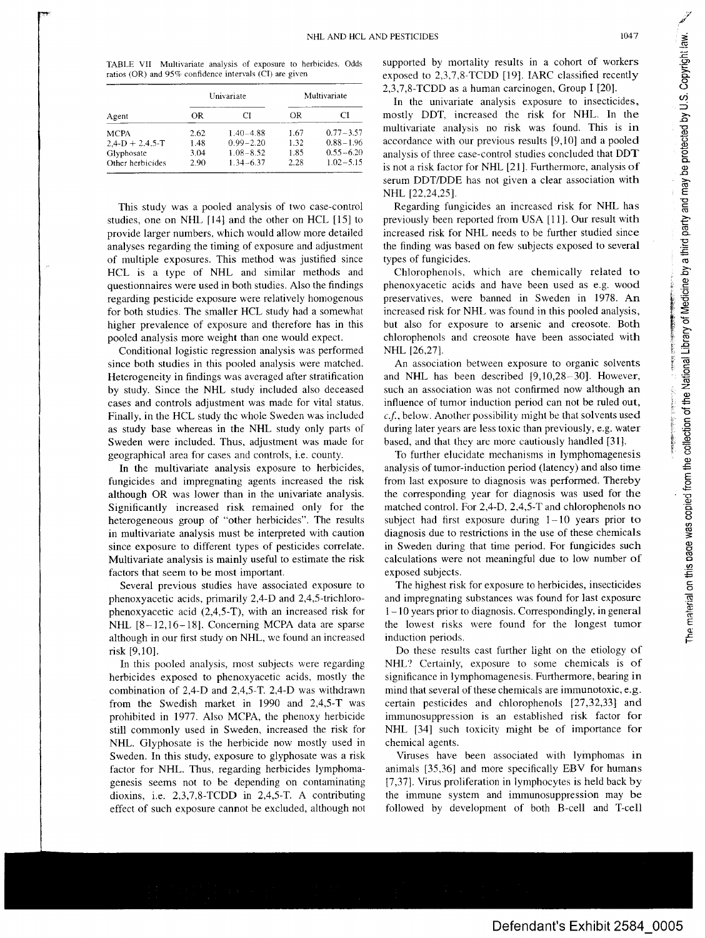TABLE VII Multivariate analysis of exposure to herbicides. Odds ratios (OR) and 95% confidence intervals (CI) are given

| Agent             |      | Univariate    | Multivariate |               |
|-------------------|------|---------------|--------------|---------------|
|                   | OR   | CI            | OR           |               |
| <b>MCPA</b>       | 2.62 | $1.40 - 4.88$ | 1.67         | $0.77 - 3.57$ |
| $2.4-D + 2.4.5-T$ | 1.48 | $0.99 - 2.20$ | 1.32         | $0.88 - 1.96$ |
| Glyphosate        | 3.04 | $1.08 - 8.52$ | 1.85         | $0.55 - 6.20$ |
| Other herbicides  | 2.90 | $1.34 - 6.37$ | 2.28         | $1.02 - 5.15$ |

This study was a pooled analysis of two case-control studies, one on NHL [14] and the other on HCL [15] to provide larger numbers, which would allow more detailed analyses regarding the timing of exposure and adjustment of multiple exposures. This method was justified since HCL is a type of NHL and similar methods and questionnaires were used in both studies. Also the findings regarding pesticide exposure were relatively homogenous for both studies. The smaller HCL study had a somewhat higher prevalence of exposure and therefore has in this pooled analysis more weight than one would expect.

Conditional logistic regression analysis was performed since both studies in this pooled analysis were matched. Heterogeneity in findings was averaged after stratification by study. Since the NHL study included also deceased cases and controls adjustment was made for vital status. Finally, in the HCL study thc whole Sweden was included as study base whereas in the NHL study only parts of Sweden were included. Thus, adjustment was made for geographical area for cases and controls, i.e. county.

In the multivariate analysis exposure to herbicides, fungicides and impregnating agents increased the risk although OR was lower than in the univariate analysis. Significantly increased risk remained only for the heterogeneous group of "other herbicides". The results in multivariate analysis must be interpreted with caution since exposure to different types of pesticides correlate. Multivariate analysis is mainly useful to estimate the risk factors that seem to be most important.

Several previous studies have associated exposure to phenoxyacetic acids, primarily 2,4-D and 2,4,5-trichlorophenoxyacetic acid (2,4,5-T), with an increased risk for NHL [8-12,16-18]. Concerning MCPA data are sparse although in our first study on NHL, we found an increased risk [9,10].

In this pooled analysis, most subjects were regarding herbicides exposed to phenoxyacetic acids, mostly the combination of 2,4-D and 2,4,5-T. 2,4-D was withdrawn from the Swedish market in 1990 and  $2,4,5$ -T was prohibited in 1977. Also MCPA, the phenoxy herbicide still commonly used in Sweden, increased the risk for NHL. Glyphosate is the herbicide now mostly used in Sweden. In this study, exposure to glyphosate was a risk factor for NHL. Thus, regarding herbicides lymphomagenesis seems not to be depending on contaminating dioxins, i.e. 2,3,7,8-TCDD in 2,4,5-T. A contributing effect of such exposure cannot be excluded, although not supported by mortality results in a cohort of workers exposed to 2,3,7,8-TCDD [19]. IARC classified recently 2,3,7,8-TCDD as a human carcinogen, Group I [20].

In the univariate analysis exposure to insecticides, mostly DDT, increased the risk for NHL. In the multivariate analysis no risk was found. This is in accordance with our previous results [9,10] and a pooled analysis of three case-control studies concluded that DDT is not <sup>a</sup> risk factor for NHL [21]. Furthermore, analysis of serum DDT/DDE has not given a clear association with NHL [22,24,25].

Regarding fungicides an increased risk for NHL has previously been reported from USA [11]. Our result with increased risk for NHL needs to be further studied since the finding was based on few subjects exposed to several types of fungicides.

Chlorophenols, which are chemically related to phenoxyacetic acids and have been used as e.g. wood preservatives, were banned in Sweden in 1978. An increased risk for NHL was found in this pooled analysis, but also for exposure to arsenic and creosote. Both chlorophenols and creosote have been associated with NHL [26,27].

An association between exposure to organic solvents and NHL has been described [9,10,28-30]. However, such an association was not confirmed now although an influence of tumor induction period can not be ruled out, *c.f,* below. Another possibility might be that solvents used during later years are less toxic than previously, e.g. water based, and that they are more cautiously handled [31].

To further elucidate mechanisms in lymphomagenesis analysis of tumor-induction period (latency) and also time from last exposure to diagnosis was performed. Thereby the corresponding year for diagnosis was used for the matched control. For 2,4-D, 2,4,5-T and chlorophenols no subject had first exposure during  $1-10$  years prior to diagnosis due to restrictions in the use of these chemicals in Sweden during that time period. For fungicides such calculations were not meaningful due to low number of exposed subjects.

The highest risk for exposure to herbicides, insecticides and impregnating substances was found for last exposure **<sup>1</sup> -10** years prior to diagnosis. Correspondingly, in general the lowest risks were found for the longest tumor induction periods.

Do these results cast further light on the etiology of NHL? Certainly, exposure to some chemicals is of significance in lymphomagenesis. Furthermore, bearing in mind that several of these chemicals are immunotoxic, e.g. certain pesticides and chlorophenols [27,32,33] and immunosuppression is an established risk factor for NHL [34] such toxicity might be of importance for chemical agents.

Viruses have been associated with lyinphomas in animals  $[35,36]$  and more specifically EBV for humans [7,37]. Virus proliferation in lymphocytes is held back by the immune system and immunosuppression may be followed by development of both B-cell and T-cell The material on this page was copied from the collection of the National Library of Medicine by a third party and may be protected by U.S. Copyright law.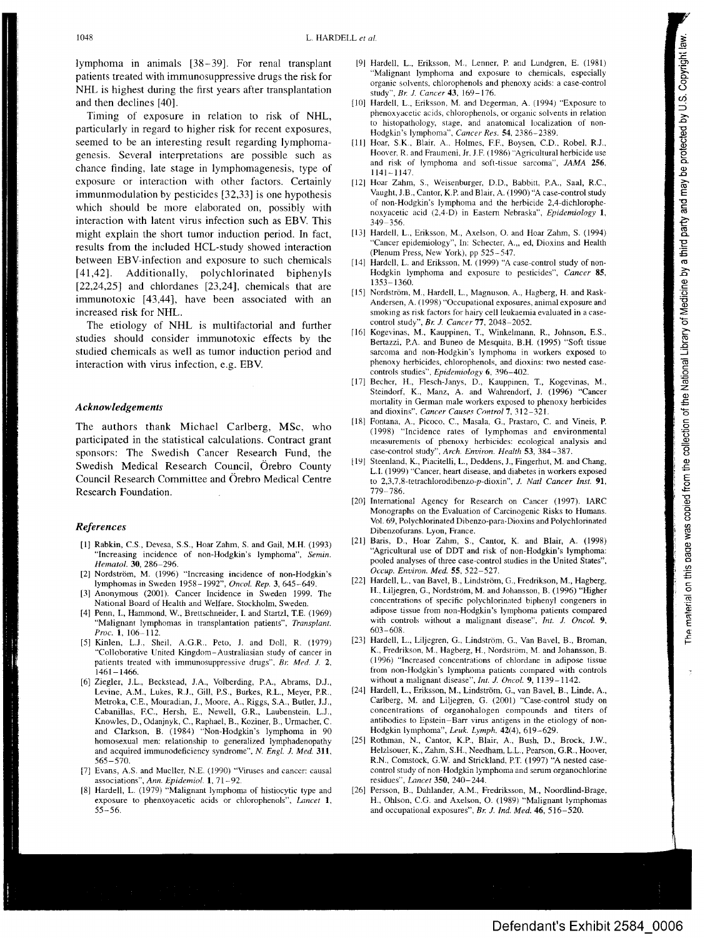**lymphoma in animals [38-39]. For renal transplant patients treated with immunosuppressive drugs the risk for NHL is highest during the first years after transplantation and then declines [40].**

**Timing of exposure in relation to risk of NHL, particularly in regard to higher risk for recent exposures, seemed to be an interesting result regarding lymphomagenesis. Several interpretations are possible such as chance finding, late stage in lymphomagenesis, type of exposure or interaction with other factors. Certainly immunmodulation by pesticides [32,33] is one hypothesis which should be more elaborated on, possibly with interaction with latent virus infection such as EBV. This might explain the short tumor induction period. In fact, results from the included HCL-study showed interaction between EBV-infection and exposure to such chemicals [41,42]. Additionally, polychlorinated biphenyls [22,24,25] and chlordanes [23,24], chemicals that are immunotoxic [43,44], have been associated with an increased risk for NHL.**

**The etiology of NHL is multifactorial and further studies should consider immunotoxic effects by the studied chemicals as well as tumor induction period and interaction with virus infection, e.g. EBV.**

### *Acknowledgements*

**The authors thank Michael Carlberg, MSc, who participated in the statistical calculations. Contract grant sponsors: The Swedish Cancer Research Fund, the Swedish Medical Research Council, Orebro County Council Research Committee and (3rebro Medical Centre Research Foundation.**

#### *References*

- [1] Rabkin, C.S., Devesa, S.S., Hoar Zahm, S. and Gail, M.H. (1993) "Increasing incidence of non-Hodgkin's lymphoma", *Semin. Hematol.* 30, 286-296.
- [2] Nordström, M. (1996) "Increasing incidence of non-Hodgkin's lymphomas in Sweden 1958-1992", *Oncol. Rep.* 3, 645-649.
- [3] Anonymous (2001). Cancer Incidence in Sweden 1999. The National Board of Health and Welfare. Stockholm, Sweden.
- [4] Penn, I., Hammond, W., Brettschneider, I. and Startzl, T.E. (1969) "Malignant lymphomas in transplantation patients", *Transplant. Proc.* 1, 106-112.
- [5] Kinlen, L.J., Sheil, A.G.R., Peto, J. and Doll, R. (1979) "Colloborative United Kingdom-Australiasian study of cancer in patients treated with immunosuppressive drugs", Br. Med. J. 2, 1461-1466.
- [6] Ziegler, J.L., Beckstead, J.A., Volberding, EA., Abrams, D.J., Levine, A.M., Lukes, R.J., Gill, RS., Burkes, R.L., Meyer, RR., Metroka, C.E., Mouradian, J., Moore, A., Riggs, S.A., Butler, J.J., Cabanillas, EC., Hersh, E., Newell, G.R., Laubenstein, L.J., Knowles, D., Odanjnyk, C., Raphael, B., Koziner, B., Urmacher, C. and Clarkson, B. (1984) "Non-Hodgkin's lymphoma in 90 homosexual men: relationship to generalized tymphadenopathy and acquired immunodeficiency syndrome", *N. Engl. J. Med.* 311,  $565 - 570.$
- [7] Evans, A.S. and Mueller, N.E. (1990) "Viruses and cancer: causal associations", *Ann. Epidemiol.* 1, 71-92.
- [8] Hardell, L. (1979) "Malignant lymphoma of histiocytic type and exposure to phenxoyacetic acids or chlorophenols", *Lancet 1,* 55-56.
- [91 Hardell, L., Eriksson, M., Lenner, R and Lundgren, E. (1981) "Malignant lymphoma and exposure to chemicals, especially organic solvents, chlorophenols and phenoxy acids: a case-control study", *Bt: J. Cancer43,* 169-176.
- [10] Hardell, L., Eriksson, M. and Degerman, A. (1994) "Exposure to phenoxyacetic acids, chlorophenols, or organic solvents in relation to histopathology, stage, and anatomical localization of non-Hodgkin's lymphoma", *Cancer Res.* 54, 2386-2389.
- [11] Hoar, S.K., Blair, *A..* Holmes, F.F., Boysen, C.D., Robel, RJ., Hoover, R. and Fraumeni, Jr, J.E (1986) "Agricultural herbicide use and risk of lymphoma and soft-tissue sarcoma", *JAMA* 256, 1141-1147.
- [12] Hoar Zahm, S., Weisenburger, D.D., Babbitt, P.A., Saal, R.C., Vaught, J.B., Cantor, K.P. and Blair, A. (1990) "A case-control study of non-Hodgkin's lymphoma and the herbicide 2,4-dichlorophenoxyacetic acid (2,4-D) in Eastern Nebraska", *Epidemiology 1,*  $349 - 356$
- [13] Hardell, L., Eriksson, M., Axelson, O. and Hoar Zahm, S. (1994) "Cancer epidemiology', In: Schecter, A.,, ed, Dioxins and Health (Plenum Press, New York), pp 525-547.
- Hardell, L. and Eriksson, M. (1999) "A case-control study of non-Hodgkin lymphoma and exposure to pesticides", *Cancer* 85, 1353-1360.
- [15] Nordström, M., Hardell, L., Magnuson, A., Hagberg, H. and Rask-Andersen, A. (1998) "Occupational exposures, animal exposure and smoking as risk factors for hairy cell leukaemia evaluated in a casecontrol study", *Br. J. Cancer* 77, 2048-2052.
- [16] Kogevinas, M., Kauppinen, T., Winkelmann, R., Johnson, E.S., Bertazzi, P.A. and Buneo de Mesquita, B.H. (1995) "Soft tissue sarcoma and non-Hodgkin's lymphoma in workers exposed to phenoxy herbicides, chlorophenols, and dioxins: two nested casecontrols studies", *Epidemiology* 6, 396-402.
- [17] Becher, H., Flesch-Janys, D., Kauppinen, T., Kogevinas, M., Steindorf, K., Manz, A. and Wahrendorf, J. (1996) "Cancer mortality in German male workers exposed to phenoxy herbicides and dioxins". *Cancer Causes Control* 7, 312-321.
- [18] Fontana, A., Picoco, C., Masala, G., Prastaro, C. and Vineis, R (1998) "Incidence rates of lymphomas and environmental measurements of phenoxy herbicides: ecological analysis and case-control study", *Arch. Environ. Health* 53, 384-387.
- [19] Steenland, K., Piacitelli, L., Deddens, J., Fingerhut, M. and Chang, L.I. (1999) "Cancer, heart disease, and diabetes in workers exposed to *2,3,7,8-tetrachlorodibenzo-p-dioxin', J. Natl Cancer Inst.* 91, 779-786.
- [20] International Agency for Research on Cancer (1997). IARC Monographs on the Evaluation of Carcinogenic Risks to Humans. Vol. 69, Polychlorinated Dibenzo-para-Dioxins and Polychlorinated Dibenzofurans. Lyon, France.
- [21] Baris, D., Hoar Zahm, S., Cantor, K. and Blair, A. (1998) "Agricultural use of DDT and risk of non-Hodgkin's lymphoma: pooled analyses of three case-control studies in the United States", *Occup. Environ. Med.* 55, 522-527.
- [22] Hardell, L., van Bavel, B., Lindström, G., Fredrikson, M., Hagberg, H., Liljegren, G., Nordström, M. and Johansson, B. (1996) "Higher concentrations of specific polychlorinated biphenyl congeners in adipose tissue from non-Hodgkin's lymphoma patients compared with controls without a malignant disease", *Int. J. Oncol.* 9, 603-608.
- [23] Hardell, L., Liljegren, G., Lindström, G., Van Bavel, B., Broman, K., Fredrikson, M., Hagberg, H., Nordström, M. and Johansson, B. (1996) "Increased concentrations of chlordane in adipose tissue from non-Hodgkin's lymphoma patients compared with controls without a malignant disease", *Int. J. Oncol.* 9, 1139-1142.
- [24] Hardell, L., Eriksson, M., Lindström, G., van Bavel, B., Linde, A., Carlberg, M. and Liljegren, G. (2001) "Case-control study on concentrations of organohalogen compounds and titers of antibodies to Epstein-Barr virus antigens in the etiology of non-Hodgkin lymphoma", *Leuk. Lymph.* 42(4), 619-629.
- [25] Rothman, N., Cantor, K.R, Blair, A., Bush, D., Brock, J.W., Helzlsouer, K., Zahm, S.H., Needham, L.L., Pearson, G.R., Hoover, R.N., Comstock, G.W. and Strickland, RT. (1997) "A nested casecontrol study of non-Hodgkin lymphoma and serum organochlorine residues", *Lancet* 350, 240-244.
- [26] Persson, B., Dahlander, A.M., Fredriksson, M., Noordlind-Brage, H., Ohlson, C.G. and Axelson, O. (1989) "Malignant lymphomas and occupational exposures", *Br. J. Ind. Med.* 46, 516-520.

**Defendant's Exhibit 2584 0006**